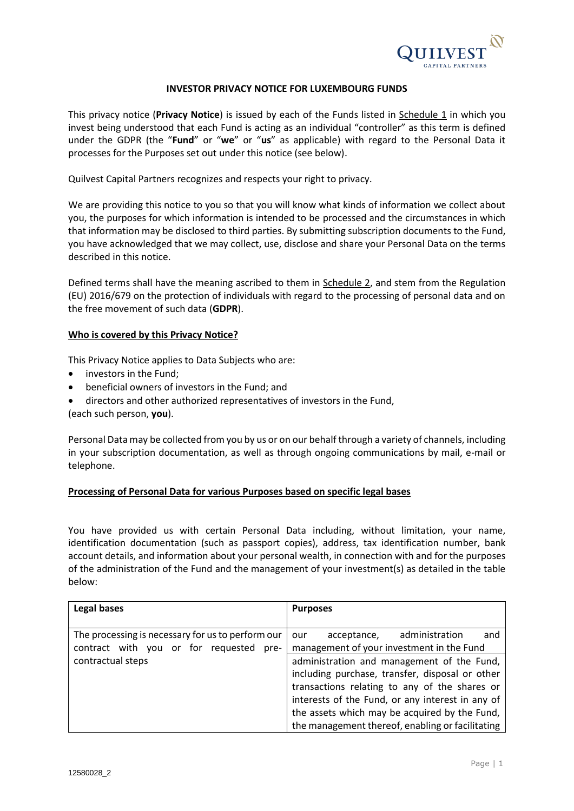

#### **INVESTOR PRIVACY NOTICE FOR LUXEMBOURG FUNDS**

This privacy notice (**Privacy Notice**) is issued by each of the Funds listed in Schedule 1 in which you invest being understood that each Fund is acting as an individual "controller" as this term is defined under the GDPR (the "**Fund**" or "**we**" or "**us**" as applicable) with regard to the Personal Data it processes for the Purposes set out under this notice (see below).

Quilvest Capital Partners recognizes and respects your right to privacy.

We are providing this notice to you so that you will know what kinds of information we collect about you, the purposes for which information is intended to be processed and the circumstances in which that information may be disclosed to third parties. By submitting subscription documents to the Fund, you have acknowledged that we may collect, use, disclose and share your Personal Data on the terms described in this notice.

Defined terms shall have the meaning ascribed to them in Schedule 2, and stem from the Regulation (EU) 2016/679 on the protection of individuals with regard to the processing of personal data and on the free movement of such data (**GDPR**).

#### **Who is covered by this Privacy Notice?**

This Privacy Notice applies to Data Subjects who are:

- investors in the Fund;
- beneficial owners of investors in the Fund; and
- directors and other authorized representatives of investors in the Fund,

(each such person, **you**).

Personal Data may be collected from you by us or on our behalf through a variety of channels, including in your subscription documentation, as well as through ongoing communications by mail, e-mail or telephone.

#### **Processing of Personal Data for various Purposes based on specific legal bases**

You have provided us with certain Personal Data including, without limitation, your name, identification documentation (such as passport copies), address, tax identification number, bank account details, and information about your personal wealth, in connection with and for the purposes of the administration of the Fund and the management of your investment(s) as detailed in the table below:

| <b>Legal bases</b>                                | <b>Purposes</b>                                  |
|---------------------------------------------------|--------------------------------------------------|
|                                                   |                                                  |
| The processing is necessary for us to perform our | administration<br>and<br>acceptance,<br>our      |
| contract with you or for requested<br>pre-        | management of your investment in the Fund        |
| contractual steps                                 | administration and management of the Fund,       |
|                                                   | including purchase, transfer, disposal or other  |
|                                                   | transactions relating to any of the shares or    |
|                                                   | interests of the Fund, or any interest in any of |
|                                                   | the assets which may be acquired by the Fund,    |
|                                                   | the management thereof, enabling or facilitating |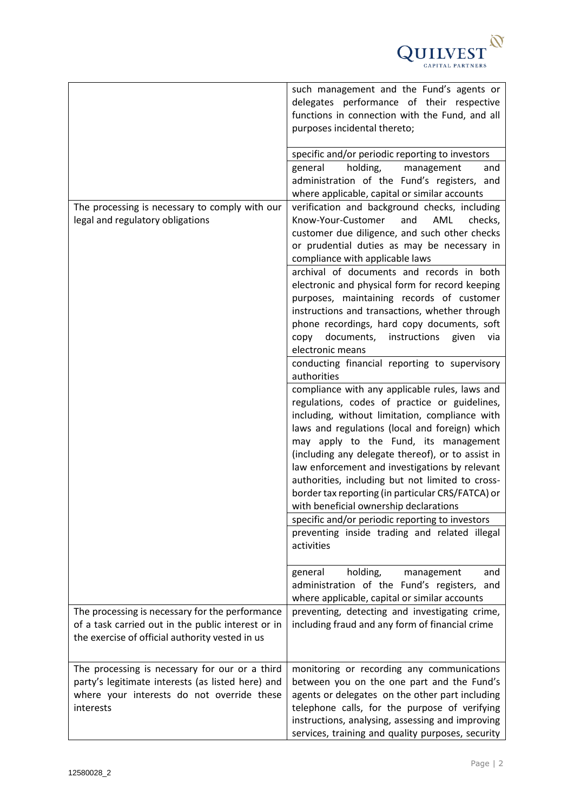

|                                                                                                                                                                | such management and the Fund's agents or<br>delegates performance of their respective<br>functions in connection with the Fund, and all<br>purposes incidental thereto;                                                                                                                                                                                                                                                                                                                                |
|----------------------------------------------------------------------------------------------------------------------------------------------------------------|--------------------------------------------------------------------------------------------------------------------------------------------------------------------------------------------------------------------------------------------------------------------------------------------------------------------------------------------------------------------------------------------------------------------------------------------------------------------------------------------------------|
|                                                                                                                                                                | specific and/or periodic reporting to investors<br>general<br>holding,<br>management<br>and<br>administration of the Fund's registers, and<br>where applicable, capital or similar accounts                                                                                                                                                                                                                                                                                                            |
| The processing is necessary to comply with our<br>legal and regulatory obligations                                                                             | verification and background checks, including<br>Know-Your-Customer<br>AML<br>and<br>checks,<br>customer due diligence, and such other checks<br>or prudential duties as may be necessary in<br>compliance with applicable laws                                                                                                                                                                                                                                                                        |
|                                                                                                                                                                | archival of documents and records in both<br>electronic and physical form for record keeping<br>purposes, maintaining records of customer<br>instructions and transactions, whether through<br>phone recordings, hard copy documents, soft<br>documents,<br>instructions<br>copy<br>given<br>via                                                                                                                                                                                                       |
|                                                                                                                                                                | electronic means<br>conducting financial reporting to supervisory<br>authorities                                                                                                                                                                                                                                                                                                                                                                                                                       |
|                                                                                                                                                                | compliance with any applicable rules, laws and<br>regulations, codes of practice or guidelines,<br>including, without limitation, compliance with<br>laws and regulations (local and foreign) which<br>may apply to the Fund, its management<br>(including any delegate thereof), or to assist in<br>law enforcement and investigations by relevant<br>authorities, including but not limited to cross-<br>border tax reporting (in particular CRS/FATCA) or<br>with beneficial ownership declarations |
|                                                                                                                                                                | specific and/or periodic reporting to investors<br>preventing inside trading and related illegal<br>activities                                                                                                                                                                                                                                                                                                                                                                                         |
|                                                                                                                                                                | holding,<br>management<br>general<br>and<br>administration of the Fund's registers, and<br>where applicable, capital or similar accounts                                                                                                                                                                                                                                                                                                                                                               |
| The processing is necessary for the performance<br>of a task carried out in the public interest or in<br>the exercise of official authority vested in us       | preventing, detecting and investigating crime,<br>including fraud and any form of financial crime                                                                                                                                                                                                                                                                                                                                                                                                      |
| The processing is necessary for our or a third<br>party's legitimate interests (as listed here) and<br>where your interests do not override these<br>interests | monitoring or recording any communications<br>between you on the one part and the Fund's<br>agents or delegates on the other part including<br>telephone calls, for the purpose of verifying<br>instructions, analysing, assessing and improving<br>services, training and quality purposes, security                                                                                                                                                                                                  |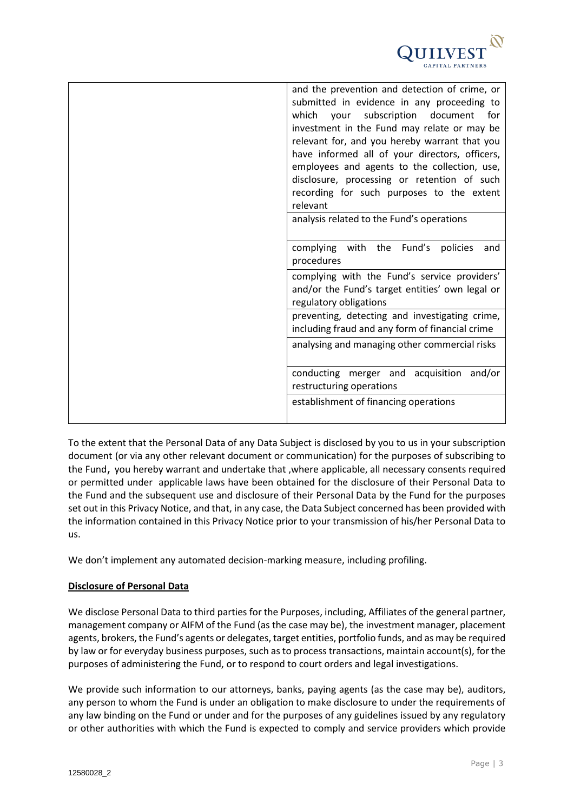

| and the prevention and detection of crime, or<br>submitted in evidence in any proceeding to<br>your subscription<br>which<br>document<br>for |
|----------------------------------------------------------------------------------------------------------------------------------------------|
| investment in the Fund may relate or may be                                                                                                  |
| relevant for, and you hereby warrant that you                                                                                                |
| have informed all of your directors, officers,                                                                                               |
| employees and agents to the collection, use,                                                                                                 |
| disclosure, processing or retention of such<br>recording for such purposes to the extent<br>relevant                                         |
| analysis related to the Fund's operations                                                                                                    |
| complying with the Fund's policies<br>and                                                                                                    |
| procedures                                                                                                                                   |
| complying with the Fund's service providers'                                                                                                 |
| and/or the Fund's target entities' own legal or                                                                                              |
| regulatory obligations                                                                                                                       |
| preventing, detecting and investigating crime,                                                                                               |
| including fraud and any form of financial crime                                                                                              |
| analysing and managing other commercial risks                                                                                                |
| conducting merger and acquisition and/or                                                                                                     |
| restructuring operations                                                                                                                     |
| establishment of financing operations                                                                                                        |
|                                                                                                                                              |

To the extent that the Personal Data of any Data Subject is disclosed by you to us in your subscription document (or via any other relevant document or communication) for the purposes of subscribing to the Fund, you hereby warrant and undertake that ,where applicable, all necessary consents required or permitted under applicable laws have been obtained for the disclosure of their Personal Data to the Fund and the subsequent use and disclosure of their Personal Data by the Fund for the purposes set out in this Privacy Notice, and that, in any case, the Data Subject concerned has been provided with the information contained in this Privacy Notice prior to your transmission of his/her Personal Data to us.

We don't implement any automated decision-marking measure, including profiling.

# **Disclosure of Personal Data**

We disclose Personal Data to third parties for the Purposes, including, Affiliates of the general partner, management company or AIFM of the Fund (as the case may be), the investment manager, placement agents, brokers, the Fund's agents or delegates, target entities, portfolio funds, and as may be required by law or for everyday business purposes, such as to process transactions, maintain account(s), for the purposes of administering the Fund, or to respond to court orders and legal investigations.

We provide such information to our attorneys, banks, paying agents (as the case may be), auditors, any person to whom the Fund is under an obligation to make disclosure to under the requirements of any law binding on the Fund or under and for the purposes of any guidelines issued by any regulatory or other authorities with which the Fund is expected to comply and service providers which provide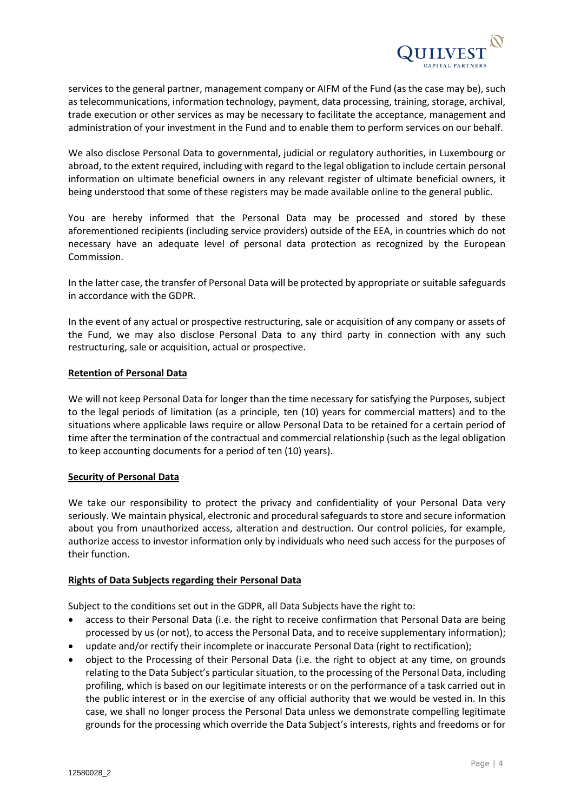

services to the general partner, management company or AIFM of the Fund (as the case may be), such as telecommunications, information technology, payment, data processing, training, storage, archival, trade execution or other services as may be necessary to facilitate the acceptance, management and administration of your investment in the Fund and to enable them to perform services on our behalf.

We also disclose Personal Data to governmental, judicial or regulatory authorities, in Luxembourg or abroad, to the extent required, including with regard to the legal obligation to include certain personal information on ultimate beneficial owners in any relevant register of ultimate beneficial owners, it being understood that some of these registers may be made available online to the general public.

You are hereby informed that the Personal Data may be processed and stored by these aforementioned recipients (including service providers) outside of the EEA, in countries which do not necessary have an adequate level of personal data protection as recognized by the European Commission.

In the latter case, the transfer of Personal Data will be protected by appropriate or suitable safeguards in accordance with the GDPR.

In the event of any actual or prospective restructuring, sale or acquisition of any company or assets of the Fund, we may also disclose Personal Data to any third party in connection with any such restructuring, sale or acquisition, actual or prospective.

## **Retention of Personal Data**

We will not keep Personal Data for longer than the time necessary for satisfying the Purposes, subject to the legal periods of limitation (as a principle, ten (10) years for commercial matters) and to the situations where applicable laws require or allow Personal Data to be retained for a certain period of time after the termination of the contractual and commercial relationship (such as the legal obligation to keep accounting documents for a period of ten (10) years).

## **Security of Personal Data**

We take our responsibility to protect the privacy and confidentiality of your Personal Data very seriously. We maintain physical, electronic and procedural safeguards to store and secure information about you from unauthorized access, alteration and destruction. Our control policies, for example, authorize access to investor information only by individuals who need such access for the purposes of their function.

## **Rights of Data Subjects regarding their Personal Data**

Subject to the conditions set out in the GDPR, all Data Subjects have the right to:

- access to their Personal Data (i.e. the right to receive confirmation that Personal Data are being processed by us (or not), to access the Personal Data, and to receive supplementary information);
- update and/or rectify their incomplete or inaccurate Personal Data (right to rectification);
- object to the Processing of their Personal Data (i.e. the right to object at any time, on grounds relating to the Data Subject's particular situation, to the processing of the Personal Data, including profiling, which is based on our legitimate interests or on the performance of a task carried out in the public interest or in the exercise of any official authority that we would be vested in. In this case, we shall no longer process the Personal Data unless we demonstrate compelling legitimate grounds for the processing which override the Data Subject's interests, rights and freedoms or for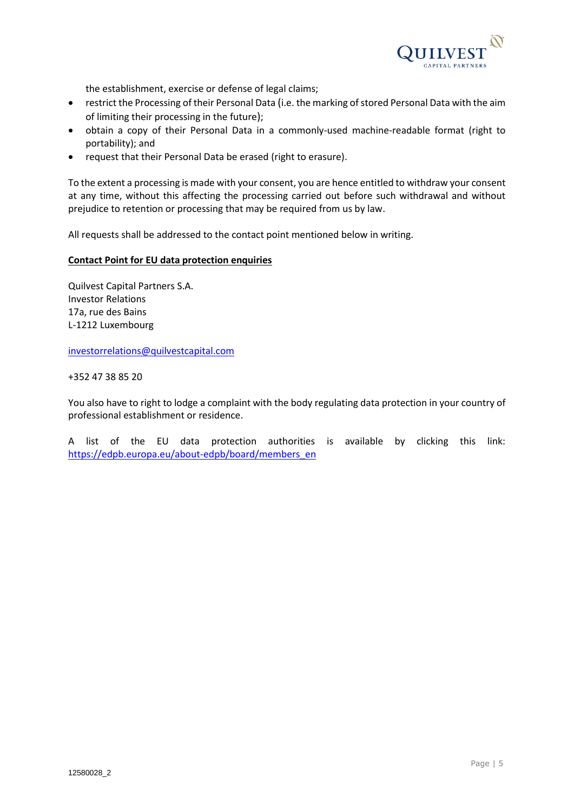

the establishment, exercise or defense of legal claims;

- restrict the Processing of their Personal Data (i.e. the marking of stored Personal Data with the aim of limiting their processing in the future);
- obtain a copy of their Personal Data in a commonly-used machine-readable format (right to portability); and
- request that their Personal Data be erased (right to erasure).

To the extent a processing is made with your consent, you are hence entitled to withdraw your consent at any time, without this affecting the processing carried out before such withdrawal and without prejudice to retention or processing that may be required from us by law.

All requests shall be addressed to the contact point mentioned below in writing.

#### **Contact Point for EU data protection enquiries**

Quilvest Capital Partners S.A. Investor Relations 17a, rue des Bains L-1212 Luxembourg

[investorrelations@quilvestcapital.com](mailto:investorrelations@quilvestcapital.com)

+352 47 38 85 20

You also have to right to lodge a complaint with the body regulating data protection in your country of professional establishment or residence.

A list of the EU data protection authorities is available by clicking this link: [https://edpb.europa.eu/about-edpb/board/members\\_en](https://edpb.europa.eu/about-edpb/board/members_en)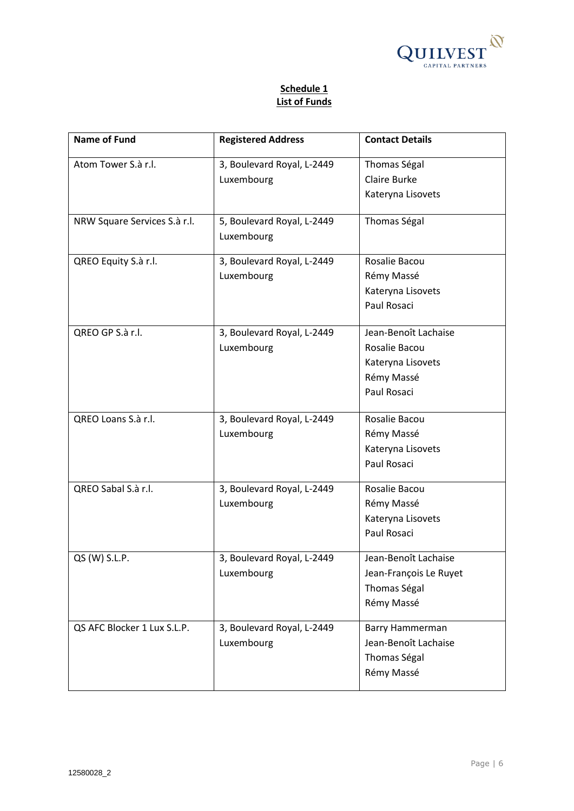

# **Schedule 1 List of Funds**

| <b>Name of Fund</b>          | <b>Registered Address</b>  | <b>Contact Details</b> |
|------------------------------|----------------------------|------------------------|
| Atom Tower S.à r.l.          | 3, Boulevard Royal, L-2449 | Thomas Ségal           |
|                              | Luxembourg                 | <b>Claire Burke</b>    |
|                              |                            | Kateryna Lisovets      |
| NRW Square Services S.à r.l. | 5, Boulevard Royal, L-2449 | Thomas Ségal           |
|                              | Luxembourg                 |                        |
| QREO Equity S.à r.l.         | 3, Boulevard Royal, L-2449 | Rosalie Bacou          |
|                              | Luxembourg                 | Rémy Massé             |
|                              |                            | Kateryna Lisovets      |
|                              |                            | Paul Rosaci            |
| QREO GP S.à r.l.             | 3, Boulevard Royal, L-2449 | Jean-Benoît Lachaise   |
|                              | Luxembourg                 | Rosalie Bacou          |
|                              |                            | Kateryna Lisovets      |
|                              |                            | Rémy Massé             |
|                              |                            | Paul Rosaci            |
|                              |                            |                        |
| QREO Loans S.à r.l.          | 3, Boulevard Royal, L-2449 | Rosalie Bacou          |
|                              | Luxembourg                 | Rémy Massé             |
|                              |                            | Kateryna Lisovets      |
|                              |                            | Paul Rosaci            |
| QREO Sabal S.à r.l.          | 3, Boulevard Royal, L-2449 | Rosalie Bacou          |
|                              | Luxembourg                 | Rémy Massé             |
|                              |                            | Kateryna Lisovets      |
|                              |                            | Paul Rosaci            |
| QS (W) S.L.P.                | 3, Boulevard Royal, L-2449 | Jean-Benoît Lachaise   |
|                              | Luxembourg                 | Jean-François Le Ruyet |
|                              |                            | Thomas Ségal           |
|                              |                            | Rémy Massé             |
| QS AFC Blocker 1 Lux S.L.P.  | 3, Boulevard Royal, L-2449 | Barry Hammerman        |
|                              | Luxembourg                 | Jean-Benoît Lachaise   |
|                              |                            | Thomas Ségal           |
|                              |                            | Rémy Massé             |
|                              |                            |                        |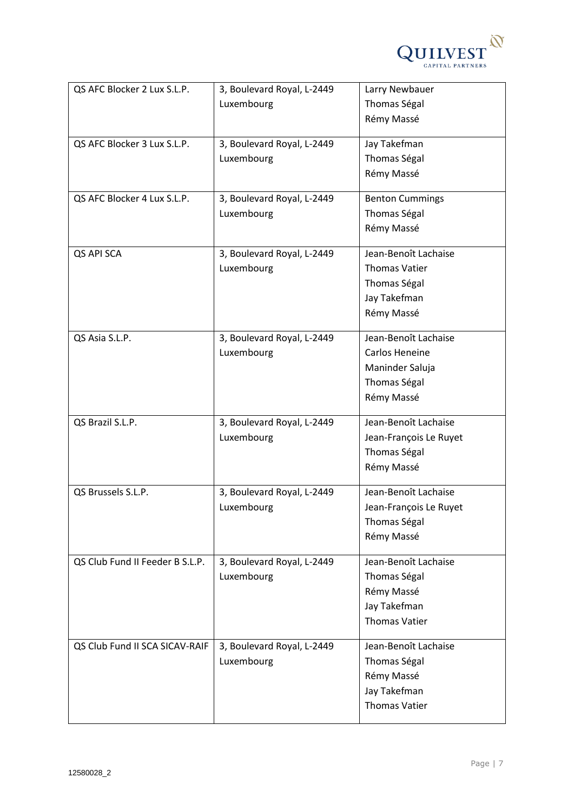

| QS AFC Blocker 2 Lux S.L.P.     | 3, Boulevard Royal, L-2449 | Larry Newbauer         |
|---------------------------------|----------------------------|------------------------|
|                                 | Luxembourg                 | Thomas Ségal           |
|                                 |                            | Rémy Massé             |
|                                 |                            |                        |
| QS AFC Blocker 3 Lux S.L.P.     | 3, Boulevard Royal, L-2449 | Jay Takefman           |
|                                 | Luxembourg                 | Thomas Ségal           |
|                                 |                            | Rémy Massé             |
| QS AFC Blocker 4 Lux S.L.P.     | 3, Boulevard Royal, L-2449 | <b>Benton Cummings</b> |
|                                 | Luxembourg                 | Thomas Ségal           |
|                                 |                            | Rémy Massé             |
| QS API SCA                      | 3, Boulevard Royal, L-2449 | Jean-Benoît Lachaise   |
|                                 | Luxembourg                 | <b>Thomas Vatier</b>   |
|                                 |                            | Thomas Ségal           |
|                                 |                            | Jay Takefman           |
|                                 |                            | Rémy Massé             |
|                                 |                            |                        |
| QS Asia S.L.P.                  | 3, Boulevard Royal, L-2449 | Jean-Benoît Lachaise   |
|                                 | Luxembourg                 | Carlos Heneine         |
|                                 |                            | Maninder Saluja        |
|                                 |                            | Thomas Ségal           |
|                                 |                            | Rémy Massé             |
| QS Brazil S.L.P.                | 3, Boulevard Royal, L-2449 | Jean-Benoît Lachaise   |
|                                 | Luxembourg                 | Jean-François Le Ruyet |
|                                 |                            | Thomas Ségal           |
|                                 |                            | Rémy Massé             |
|                                 |                            |                        |
| QS Brussels S.L.P.              | 3, Boulevard Royal, L-2449 | Jean-Benoît Lachaise   |
|                                 | Luxembourg                 | Jean-François Le Ruyet |
|                                 |                            | Thomas Ségal           |
|                                 |                            | Rémy Massé             |
| QS Club Fund II Feeder B S.L.P. | 3, Boulevard Royal, L-2449 | Jean-Benoît Lachaise   |
|                                 | Luxembourg                 | Thomas Ségal           |
|                                 |                            | Rémy Massé             |
|                                 |                            | Jay Takefman           |
|                                 |                            | <b>Thomas Vatier</b>   |
|                                 |                            |                        |
| QS Club Fund II SCA SICAV-RAIF  | 3, Boulevard Royal, L-2449 | Jean-Benoît Lachaise   |
|                                 | Luxembourg                 | Thomas Ségal           |
|                                 |                            | Rémy Massé             |
|                                 |                            | Jay Takefman           |
|                                 |                            | <b>Thomas Vatier</b>   |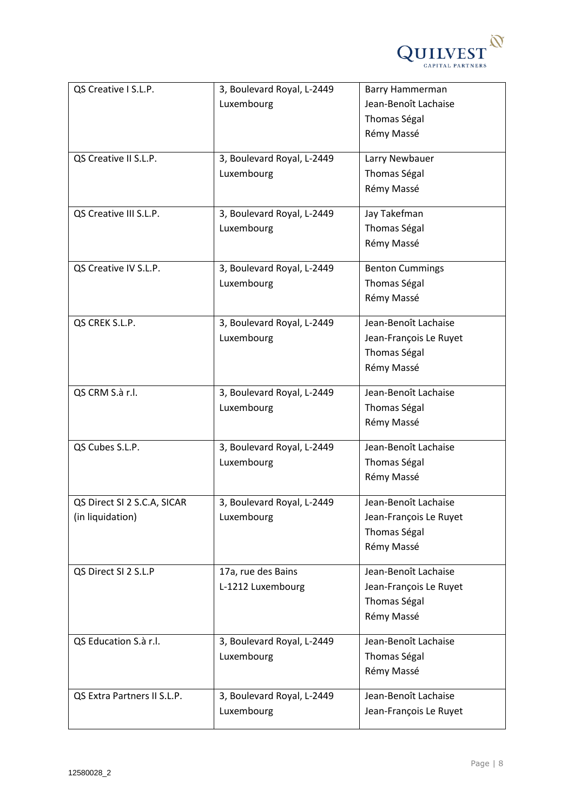

| QS Creative I S.L.P.        | 3, Boulevard Royal, L-2449 | Barry Hammerman        |
|-----------------------------|----------------------------|------------------------|
|                             | Luxembourg                 | Jean-Benoît Lachaise   |
|                             |                            | Thomas Ségal           |
|                             |                            | Rémy Massé             |
|                             |                            |                        |
| QS Creative II S.L.P.       | 3, Boulevard Royal, L-2449 | Larry Newbauer         |
|                             | Luxembourg                 | Thomas Ségal           |
|                             |                            | Rémy Massé             |
| QS Creative III S.L.P.      | 3, Boulevard Royal, L-2449 | Jay Takefman           |
|                             | Luxembourg                 | Thomas Ségal           |
|                             |                            | Rémy Massé             |
|                             |                            |                        |
| QS Creative IV S.L.P.       | 3, Boulevard Royal, L-2449 | <b>Benton Cummings</b> |
|                             | Luxembourg                 | Thomas Ségal           |
|                             |                            | Rémy Massé             |
| QS CREK S.L.P.              | 3, Boulevard Royal, L-2449 | Jean-Benoît Lachaise   |
|                             | Luxembourg                 | Jean-François Le Ruyet |
|                             |                            | Thomas Ségal           |
|                             |                            | Rémy Massé             |
|                             |                            |                        |
| QS CRM S.à r.l.             | 3, Boulevard Royal, L-2449 | Jean-Benoît Lachaise   |
|                             | Luxembourg                 | Thomas Ségal           |
|                             |                            | Rémy Massé             |
| QS Cubes S.L.P.             | 3, Boulevard Royal, L-2449 | Jean-Benoît Lachaise   |
|                             | Luxembourg                 | Thomas Ségal           |
|                             |                            | Rémy Massé             |
|                             |                            |                        |
| QS Direct SI 2 S.C.A, SICAR | 3, Boulevard Royal, L-2449 | Jean-Benoît Lachaise   |
| (in liquidation)            | Luxembourg                 | Jean-François Le Ruyet |
|                             |                            | Thomas Ségal           |
|                             |                            | Rémy Massé             |
| QS Direct SI 2 S.L.P        | 17a, rue des Bains         | Jean-Benoît Lachaise   |
|                             | L-1212 Luxembourg          | Jean-François Le Ruyet |
|                             |                            | Thomas Ségal           |
|                             |                            | Rémy Massé             |
|                             |                            |                        |
| QS Education S.à r.l.       | 3, Boulevard Royal, L-2449 | Jean-Benoît Lachaise   |
|                             | Luxembourg                 | Thomas Ségal           |
|                             |                            | Rémy Massé             |
| QS Extra Partners II S.L.P. | 3, Boulevard Royal, L-2449 | Jean-Benoît Lachaise   |
|                             | Luxembourg                 | Jean-François Le Ruyet |
|                             |                            |                        |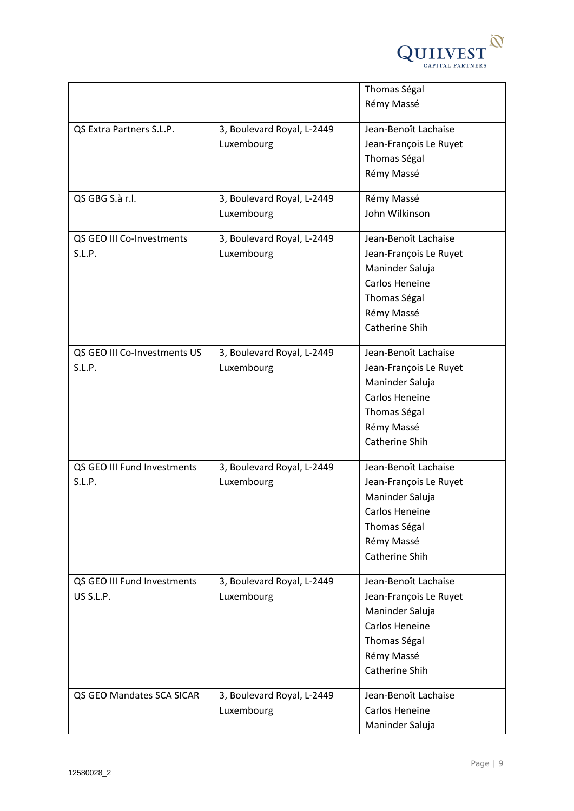

|                              |                            | Thomas Ségal           |
|------------------------------|----------------------------|------------------------|
|                              |                            | Rémy Massé             |
|                              |                            |                        |
| QS Extra Partners S.L.P.     | 3, Boulevard Royal, L-2449 | Jean-Benoît Lachaise   |
|                              | Luxembourg                 | Jean-François Le Ruyet |
|                              |                            | Thomas Ségal           |
|                              |                            | Rémy Massé             |
| QS GBG S.à r.l.              | 3, Boulevard Royal, L-2449 | Rémy Massé             |
|                              | Luxembourg                 | John Wilkinson         |
| QS GEO III Co-Investments    | 3, Boulevard Royal, L-2449 | Jean-Benoît Lachaise   |
| S.L.P.                       | Luxembourg                 | Jean-François Le Ruyet |
|                              |                            | Maninder Saluja        |
|                              |                            | Carlos Heneine         |
|                              |                            | Thomas Ségal           |
|                              |                            | Rémy Massé             |
|                              |                            | Catherine Shih         |
| QS GEO III Co-Investments US | 3, Boulevard Royal, L-2449 | Jean-Benoît Lachaise   |
| S.L.P.                       | Luxembourg                 | Jean-François Le Ruyet |
|                              |                            | Maninder Saluja        |
|                              |                            | Carlos Heneine         |
|                              |                            | Thomas Ségal           |
|                              |                            | Rémy Massé             |
|                              |                            | Catherine Shih         |
|                              |                            |                        |
| QS GEO III Fund Investments  | 3, Boulevard Royal, L-2449 | Jean-Benoît Lachaise   |
| S.L.P.                       | Luxembourg                 | Jean-François Le Ruyet |
|                              |                            | Maninder Saluja        |
|                              |                            | Carlos Heneine         |
|                              |                            | Thomas Ségal           |
|                              |                            | Rémy Massé             |
|                              |                            | Catherine Shih         |
| QS GEO III Fund Investments  | 3, Boulevard Royal, L-2449 | Jean-Benoît Lachaise   |
| US S.L.P.                    | Luxembourg                 | Jean-François Le Ruyet |
|                              |                            | Maninder Saluja        |
|                              |                            | Carlos Heneine         |
|                              |                            | Thomas Ségal           |
|                              |                            | Rémy Massé             |
|                              |                            | Catherine Shih         |
| QS GEO Mandates SCA SICAR    | 3, Boulevard Royal, L-2449 | Jean-Benoît Lachaise   |
|                              | Luxembourg                 | Carlos Heneine         |
|                              |                            | Maninder Saluja        |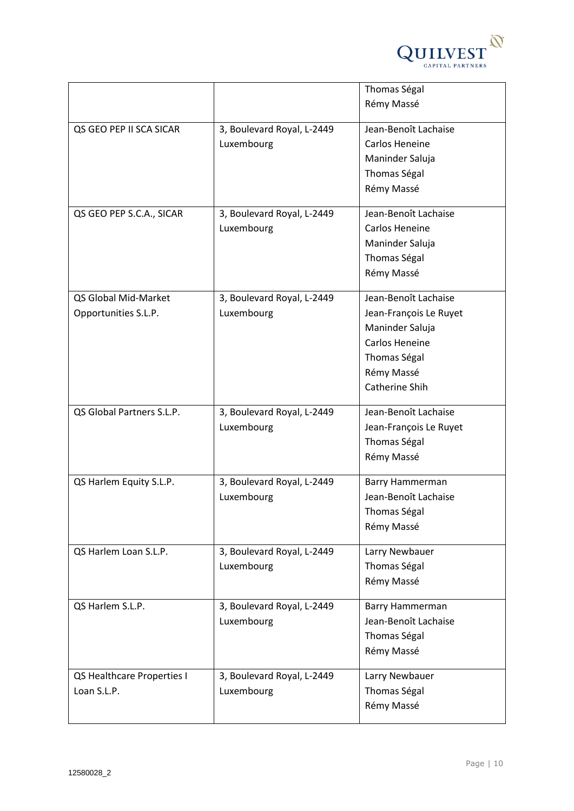

|                            |                            | Thomas Ségal           |
|----------------------------|----------------------------|------------------------|
|                            |                            | Rémy Massé             |
|                            |                            |                        |
| QS GEO PEP II SCA SICAR    | 3, Boulevard Royal, L-2449 | Jean-Benoît Lachaise   |
|                            | Luxembourg                 | Carlos Heneine         |
|                            |                            | Maninder Saluja        |
|                            |                            | Thomas Ségal           |
|                            |                            | Rémy Massé             |
| QS GEO PEP S.C.A., SICAR   | 3, Boulevard Royal, L-2449 | Jean-Benoît Lachaise   |
|                            | Luxembourg                 | Carlos Heneine         |
|                            |                            | Maninder Saluja        |
|                            |                            |                        |
|                            |                            | Thomas Ségal           |
|                            |                            | Rémy Massé             |
| QS Global Mid-Market       | 3, Boulevard Royal, L-2449 | Jean-Benoît Lachaise   |
| Opportunities S.L.P.       | Luxembourg                 | Jean-François Le Ruyet |
|                            |                            | Maninder Saluja        |
|                            |                            | <b>Carlos Heneine</b>  |
|                            |                            | Thomas Ségal           |
|                            |                            | Rémy Massé             |
|                            |                            | Catherine Shih         |
|                            |                            |                        |
| QS Global Partners S.L.P.  | 3, Boulevard Royal, L-2449 | Jean-Benoît Lachaise   |
|                            | Luxembourg                 | Jean-François Le Ruyet |
|                            |                            | Thomas Ségal           |
|                            |                            | Rémy Massé             |
|                            |                            |                        |
| QS Harlem Equity S.L.P.    | 3, Boulevard Royal, L-2449 | Barry Hammerman        |
|                            | Luxembourg                 | Jean-Benoît Lachaise   |
|                            |                            | Thomas Ségal           |
|                            |                            | Rémy Massé             |
| QS Harlem Loan S.L.P.      | 3, Boulevard Royal, L-2449 | Larry Newbauer         |
|                            | Luxembourg                 | Thomas Ségal           |
|                            |                            | Rémy Massé             |
|                            |                            |                        |
| QS Harlem S.L.P.           | 3, Boulevard Royal, L-2449 | Barry Hammerman        |
|                            | Luxembourg                 | Jean-Benoît Lachaise   |
|                            |                            | Thomas Ségal           |
|                            |                            | Rémy Massé             |
| QS Healthcare Properties I | 3, Boulevard Royal, L-2449 | Larry Newbauer         |
| Loan S.L.P.                | Luxembourg                 | Thomas Ségal           |
|                            |                            | Rémy Massé             |
|                            |                            |                        |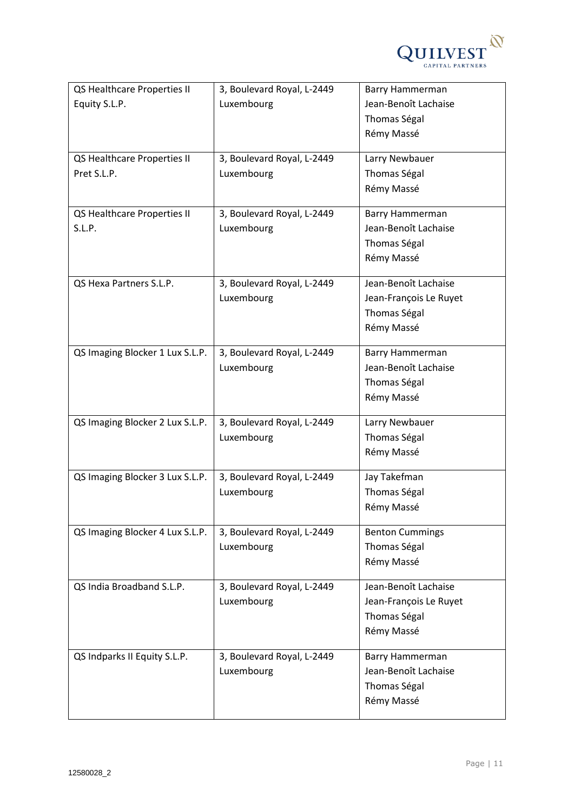

| QS Healthcare Properties II     | 3, Boulevard Royal, L-2449 | Barry Hammerman        |
|---------------------------------|----------------------------|------------------------|
| Equity S.L.P.                   | Luxembourg                 | Jean-Benoît Lachaise   |
|                                 |                            | Thomas Ségal           |
|                                 |                            | Rémy Massé             |
| QS Healthcare Properties II     | 3, Boulevard Royal, L-2449 | Larry Newbauer         |
| Pret S.L.P.                     | Luxembourg                 | Thomas Ségal           |
|                                 |                            | Rémy Massé             |
|                                 |                            |                        |
| QS Healthcare Properties II     | 3, Boulevard Royal, L-2449 | Barry Hammerman        |
| S.L.P.                          | Luxembourg                 | Jean-Benoît Lachaise   |
|                                 |                            | Thomas Ségal           |
|                                 |                            | Rémy Massé             |
| QS Hexa Partners S.L.P.         | 3, Boulevard Royal, L-2449 | Jean-Benoît Lachaise   |
|                                 | Luxembourg                 | Jean-François Le Ruyet |
|                                 |                            | Thomas Ségal           |
|                                 |                            | Rémy Massé             |
|                                 |                            |                        |
| QS Imaging Blocker 1 Lux S.L.P. | 3, Boulevard Royal, L-2449 | Barry Hammerman        |
|                                 | Luxembourg                 | Jean-Benoît Lachaise   |
|                                 |                            | Thomas Ségal           |
|                                 |                            | Rémy Massé             |
| QS Imaging Blocker 2 Lux S.L.P. | 3, Boulevard Royal, L-2449 | Larry Newbauer         |
|                                 | Luxembourg                 | Thomas Ségal           |
|                                 |                            | Rémy Massé             |
|                                 |                            |                        |
| QS Imaging Blocker 3 Lux S.L.P. | 3, Boulevard Royal, L-2449 | Jay Takefman           |
|                                 | Luxembourg                 | Thomas Ségal           |
|                                 |                            | Rémy Massé             |
| QS Imaging Blocker 4 Lux S.L.P. | 3, Boulevard Royal, L-2449 | <b>Benton Cummings</b> |
|                                 | Luxembourg                 | Thomas Ségal           |
|                                 |                            | Rémy Massé             |
|                                 |                            |                        |
| QS India Broadband S.L.P.       | 3, Boulevard Royal, L-2449 | Jean-Benoît Lachaise   |
|                                 | Luxembourg                 | Jean-François Le Ruyet |
|                                 |                            | Thomas Ségal           |
|                                 |                            | Rémy Massé             |
| QS Indparks II Equity S.L.P.    | 3, Boulevard Royal, L-2449 | Barry Hammerman        |
|                                 | Luxembourg                 | Jean-Benoît Lachaise   |
|                                 |                            | Thomas Ségal           |
|                                 |                            | Rémy Massé             |
|                                 |                            |                        |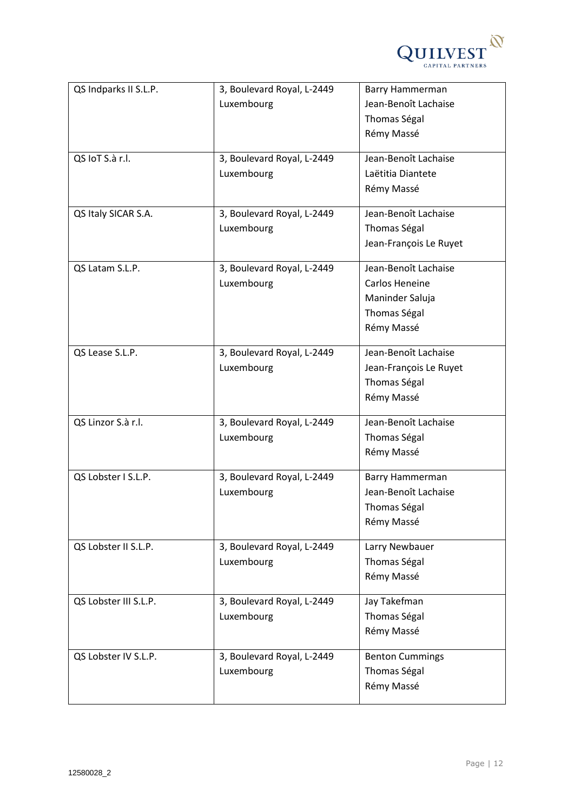

| QS Indparks II S.L.P. | 3, Boulevard Royal, L-2449 | Barry Hammerman        |
|-----------------------|----------------------------|------------------------|
|                       | Luxembourg                 | Jean-Benoît Lachaise   |
|                       |                            | Thomas Ségal           |
|                       |                            | Rémy Massé             |
|                       |                            |                        |
| QS IoT S.à r.l.       | 3, Boulevard Royal, L-2449 | Jean-Benoît Lachaise   |
|                       | Luxembourg                 | Laëtitia Diantete      |
|                       |                            | Rémy Massé             |
| QS Italy SICAR S.A.   | 3, Boulevard Royal, L-2449 | Jean-Benoît Lachaise   |
|                       | Luxembourg                 | Thomas Ségal           |
|                       |                            | Jean-François Le Ruyet |
|                       |                            |                        |
| QS Latam S.L.P.       | 3, Boulevard Royal, L-2449 | Jean-Benoît Lachaise   |
|                       | Luxembourg                 | Carlos Heneine         |
|                       |                            | Maninder Saluja        |
|                       |                            | Thomas Ségal           |
|                       |                            | Rémy Massé             |
| QS Lease S.L.P.       | 3, Boulevard Royal, L-2449 | Jean-Benoît Lachaise   |
|                       | Luxembourg                 | Jean-François Le Ruyet |
|                       |                            | Thomas Ségal           |
|                       |                            | Rémy Massé             |
|                       |                            |                        |
| QS Linzor S.à r.l.    | 3, Boulevard Royal, L-2449 | Jean-Benoît Lachaise   |
|                       | Luxembourg                 | Thomas Ségal           |
|                       |                            | Rémy Massé             |
| QS Lobster I S.L.P.   | 3, Boulevard Royal, L-2449 | Barry Hammerman        |
|                       | Luxembourg                 | Jean-Benoît Lachaise   |
|                       |                            | Thomas Ségal           |
|                       |                            | Rémy Massé             |
| QS Lobster II S.L.P.  | 3, Boulevard Royal, L-2449 | Larry Newbauer         |
|                       | Luxembourg                 | Thomas Ségal           |
|                       |                            | Rémy Massé             |
|                       |                            |                        |
| QS Lobster III S.L.P. | 3, Boulevard Royal, L-2449 | Jay Takefman           |
|                       | Luxembourg                 | Thomas Ségal           |
|                       |                            | Rémy Massé             |
| QS Lobster IV S.L.P.  | 3, Boulevard Royal, L-2449 | <b>Benton Cummings</b> |
|                       | Luxembourg                 | Thomas Ségal           |
|                       |                            | Rémy Massé             |
|                       |                            |                        |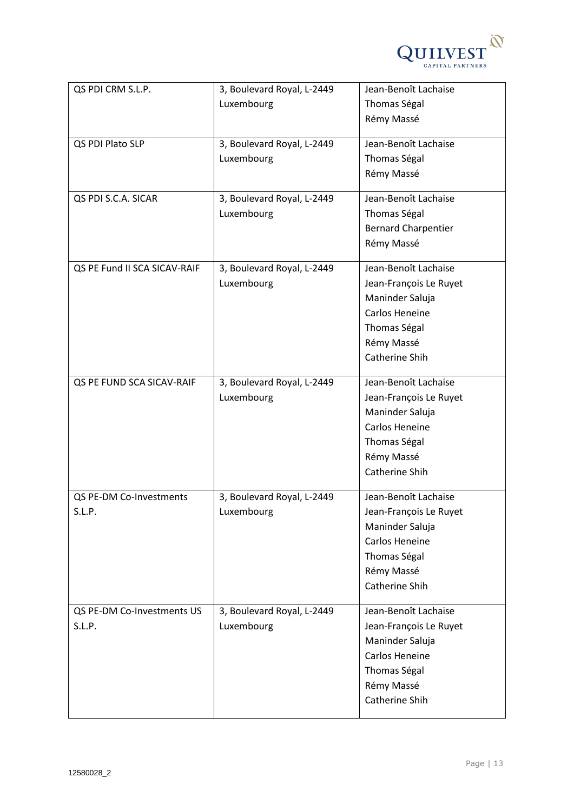

| QS PDI CRM S.L.P.            | 3, Boulevard Royal, L-2449 | Jean-Benoît Lachaise       |
|------------------------------|----------------------------|----------------------------|
|                              | Luxembourg                 | Thomas Ségal               |
|                              |                            | Rémy Massé                 |
|                              |                            |                            |
| QS PDI Plato SLP             | 3, Boulevard Royal, L-2449 | Jean-Benoît Lachaise       |
|                              | Luxembourg                 | Thomas Ségal               |
|                              |                            | Rémy Massé                 |
| QS PDI S.C.A. SICAR          | 3, Boulevard Royal, L-2449 | Jean-Benoît Lachaise       |
|                              | Luxembourg                 | Thomas Ségal               |
|                              |                            | <b>Bernard Charpentier</b> |
|                              |                            | Rémy Massé                 |
|                              |                            |                            |
| QS PE Fund II SCA SICAV-RAIF | 3, Boulevard Royal, L-2449 | Jean-Benoît Lachaise       |
|                              | Luxembourg                 | Jean-François Le Ruyet     |
|                              |                            | Maninder Saluja            |
|                              |                            | <b>Carlos Heneine</b>      |
|                              |                            | Thomas Ségal               |
|                              |                            | Rémy Massé                 |
|                              |                            | Catherine Shih             |
|                              |                            |                            |
| QS PE FUND SCA SICAV-RAIF    | 3, Boulevard Royal, L-2449 | Jean-Benoît Lachaise       |
|                              | Luxembourg                 | Jean-François Le Ruyet     |
|                              |                            | Maninder Saluja            |
|                              |                            | Carlos Heneine             |
|                              |                            | Thomas Ségal               |
|                              |                            | Rémy Massé                 |
|                              |                            | Catherine Shih             |
| QS PE-DM Co-Investments      | 3, Boulevard Royal, L-2449 | Jean-Benoît Lachaise       |
| S.L.P.                       | Luxembourg                 | Jean-François Le Ruyet     |
|                              |                            | Maninder Saluja            |
|                              |                            | Carlos Heneine             |
|                              |                            | Thomas Ségal               |
|                              |                            | Rémy Massé                 |
|                              |                            | Catherine Shih             |
|                              |                            |                            |
| QS PE-DM Co-Investments US   | 3, Boulevard Royal, L-2449 | Jean-Benoît Lachaise       |
| S.L.P.                       | Luxembourg                 | Jean-François Le Ruyet     |
|                              |                            | Maninder Saluja            |
|                              |                            | Carlos Heneine             |
|                              |                            | Thomas Ségal               |
|                              |                            | Rémy Massé                 |
|                              |                            | Catherine Shih             |
|                              |                            |                            |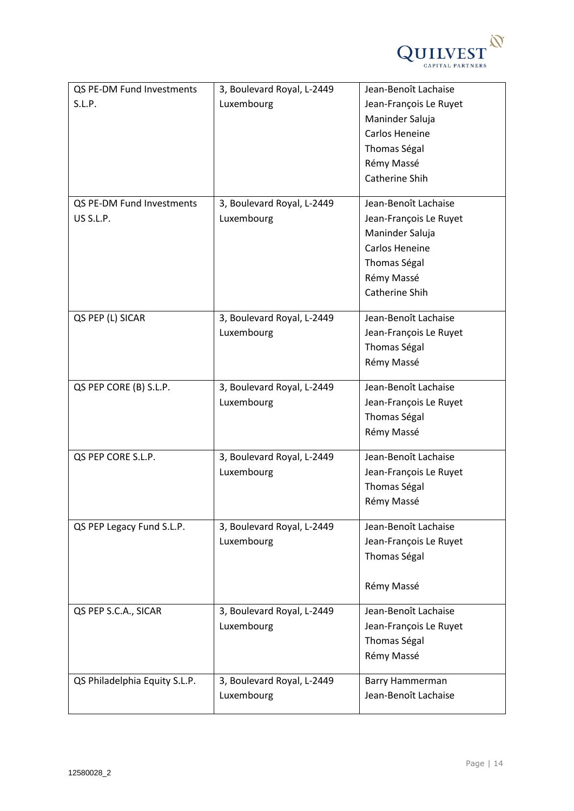

| QS PE-DM Fund Investments     | 3, Boulevard Royal, L-2449 | Jean-Benoît Lachaise   |
|-------------------------------|----------------------------|------------------------|
| S.L.P.                        | Luxembourg                 | Jean-François Le Ruyet |
|                               |                            | Maninder Saluja        |
|                               |                            | Carlos Heneine         |
|                               |                            | Thomas Ségal           |
|                               |                            | Rémy Massé             |
|                               |                            | Catherine Shih         |
| QS PE-DM Fund Investments     | 3, Boulevard Royal, L-2449 | Jean-Benoît Lachaise   |
| US S.L.P.                     | Luxembourg                 | Jean-François Le Ruyet |
|                               |                            | Maninder Saluja        |
|                               |                            | Carlos Heneine         |
|                               |                            | Thomas Ségal           |
|                               |                            | Rémy Massé             |
|                               |                            | Catherine Shih         |
| QS PEP (L) SICAR              | 3, Boulevard Royal, L-2449 | Jean-Benoît Lachaise   |
|                               | Luxembourg                 | Jean-François Le Ruyet |
|                               |                            | Thomas Ségal           |
|                               |                            | Rémy Massé             |
|                               |                            |                        |
| QS PEP CORE (B) S.L.P.        | 3, Boulevard Royal, L-2449 | Jean-Benoît Lachaise   |
|                               | Luxembourg                 | Jean-François Le Ruyet |
|                               |                            | Thomas Ségal           |
|                               |                            | Rémy Massé             |
| QS PEP CORE S.L.P.            | 3, Boulevard Royal, L-2449 | Jean-Benoît Lachaise   |
|                               | Luxembourg                 | Jean-François Le Ruyet |
|                               |                            | Thomas Ségal           |
|                               |                            | Rémy Massé             |
| QS PEP Legacy Fund S.L.P.     | 3, Boulevard Royal, L-2449 | Jean-Benoît Lachaise   |
|                               | Luxembourg                 | Jean-François Le Ruyet |
|                               |                            | Thomas Ségal           |
|                               |                            |                        |
|                               |                            | Rémy Massé             |
| QS PEP S.C.A., SICAR          | 3, Boulevard Royal, L-2449 | Jean-Benoît Lachaise   |
|                               | Luxembourg                 | Jean-François Le Ruyet |
|                               |                            | Thomas Ségal           |
|                               |                            | Rémy Massé             |
| QS Philadelphia Equity S.L.P. | 3, Boulevard Royal, L-2449 | Barry Hammerman        |
|                               | Luxembourg                 | Jean-Benoît Lachaise   |
|                               |                            |                        |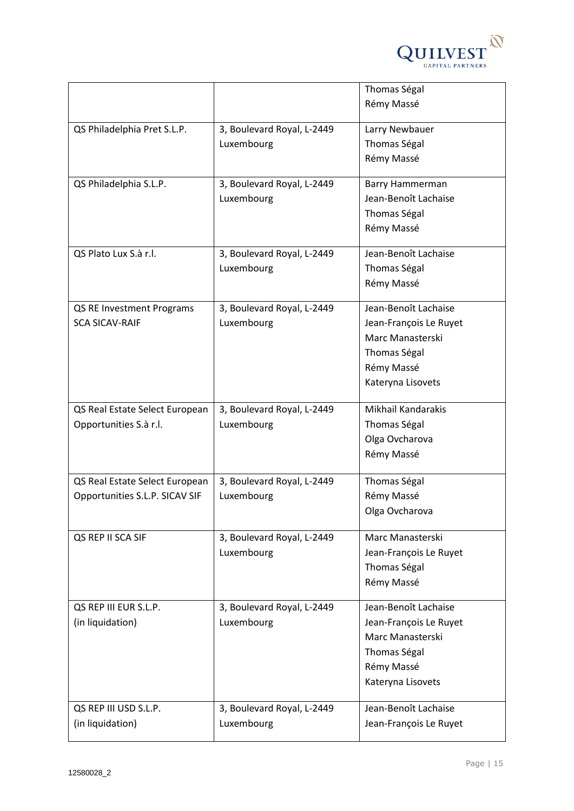

|                                |                            | Thomas Ségal           |
|--------------------------------|----------------------------|------------------------|
|                                |                            | Rémy Massé             |
|                                |                            |                        |
| QS Philadelphia Pret S.L.P.    | 3, Boulevard Royal, L-2449 | Larry Newbauer         |
|                                | Luxembourg                 | Thomas Ségal           |
|                                |                            | Rémy Massé             |
| QS Philadelphia S.L.P.         | 3, Boulevard Royal, L-2449 | Barry Hammerman        |
|                                | Luxembourg                 | Jean-Benoît Lachaise   |
|                                |                            | Thomas Ségal           |
|                                |                            | Rémy Massé             |
|                                |                            |                        |
| QS Plato Lux S.à r.l.          | 3, Boulevard Royal, L-2449 | Jean-Benoît Lachaise   |
|                                | Luxembourg                 | Thomas Ségal           |
|                                |                            | Rémy Massé             |
| QS RE Investment Programs      | 3, Boulevard Royal, L-2449 | Jean-Benoît Lachaise   |
| <b>SCA SICAV-RAIF</b>          | Luxembourg                 | Jean-François Le Ruyet |
|                                |                            | Marc Manasterski       |
|                                |                            | Thomas Ségal           |
|                                |                            | Rémy Massé             |
|                                |                            | Kateryna Lisovets      |
|                                |                            |                        |
| QS Real Estate Select European | 3, Boulevard Royal, L-2449 | Mikhail Kandarakis     |
| Opportunities S.à r.l.         | Luxembourg                 | Thomas Ségal           |
|                                |                            | Olga Ovcharova         |
|                                |                            | Rémy Massé             |
|                                |                            |                        |
| QS Real Estate Select European | 3, Boulevard Royal, L-2449 | Thomas Ségal           |
| Opportunities S.L.P. SICAV SIF | Luxembourg                 | Rémy Massé             |
|                                |                            | Olga Ovcharova         |
| QS REP II SCA SIF              | 3, Boulevard Royal, L-2449 | Marc Manasterski       |
|                                | Luxembourg                 | Jean-François Le Ruyet |
|                                |                            | Thomas Ségal           |
|                                |                            | Rémy Massé             |
|                                |                            |                        |
| QS REP III EUR S.L.P.          | 3, Boulevard Royal, L-2449 | Jean-Benoît Lachaise   |
| (in liquidation)               | Luxembourg                 | Jean-François Le Ruyet |
|                                |                            | Marc Manasterski       |
|                                |                            | Thomas Ségal           |
|                                |                            | Rémy Massé             |
|                                |                            | Kateryna Lisovets      |
| QS REP III USD S.L.P.          | 3, Boulevard Royal, L-2449 | Jean-Benoît Lachaise   |
| (in liquidation)               | Luxembourg                 | Jean-François Le Ruyet |
|                                |                            |                        |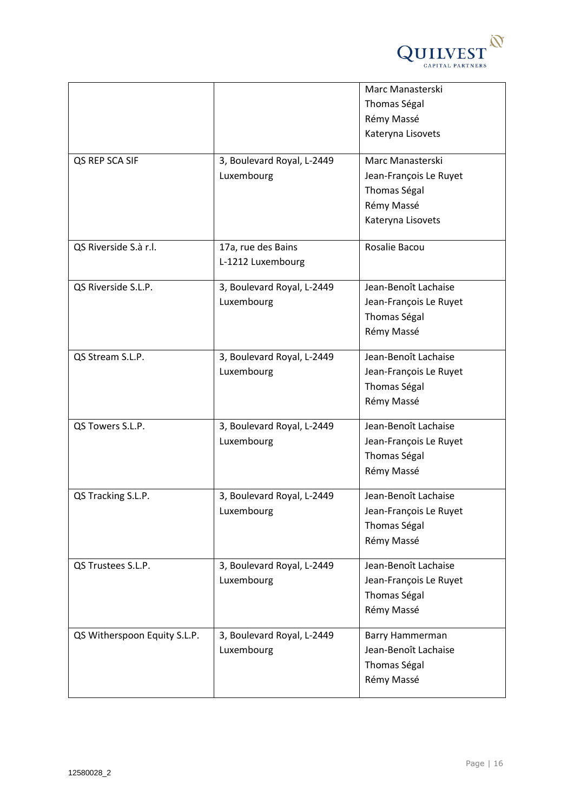

|                              |                                          | Marc Manasterski<br>Thomas Ségal<br>Rémy Massé<br>Kateryna Lisovets                           |
|------------------------------|------------------------------------------|-----------------------------------------------------------------------------------------------|
| QS REP SCA SIF               | 3, Boulevard Royal, L-2449<br>Luxembourg | Marc Manasterski<br>Jean-François Le Ruyet<br>Thomas Ségal<br>Rémy Massé<br>Kateryna Lisovets |
| QS Riverside S.à r.l.        | 17a, rue des Bains<br>L-1212 Luxembourg  | Rosalie Bacou                                                                                 |
| QS Riverside S.L.P.          | 3, Boulevard Royal, L-2449<br>Luxembourg | Jean-Benoît Lachaise<br>Jean-François Le Ruyet<br>Thomas Ségal<br>Rémy Massé                  |
| QS Stream S.L.P.             | 3, Boulevard Royal, L-2449<br>Luxembourg | Jean-Benoît Lachaise<br>Jean-François Le Ruyet<br>Thomas Ségal<br>Rémy Massé                  |
| QS Towers S.L.P.             | 3, Boulevard Royal, L-2449<br>Luxembourg | Jean-Benoît Lachaise<br>Jean-François Le Ruyet<br>Thomas Ségal<br>Rémy Massé                  |
| QS Tracking S.L.P.           | 3, Boulevard Royal, L-2449<br>Luxembourg | Jean-Benoît Lachaise<br>Jean-François Le Ruyet<br>Thomas Ségal<br>Rémy Massé                  |
| QS Trustees S.L.P.           | 3, Boulevard Royal, L-2449<br>Luxembourg | Jean-Benoît Lachaise<br>Jean-François Le Ruyet<br>Thomas Ségal<br>Rémy Massé                  |
| QS Witherspoon Equity S.L.P. | 3, Boulevard Royal, L-2449<br>Luxembourg | Barry Hammerman<br>Jean-Benoît Lachaise<br>Thomas Ségal<br>Rémy Massé                         |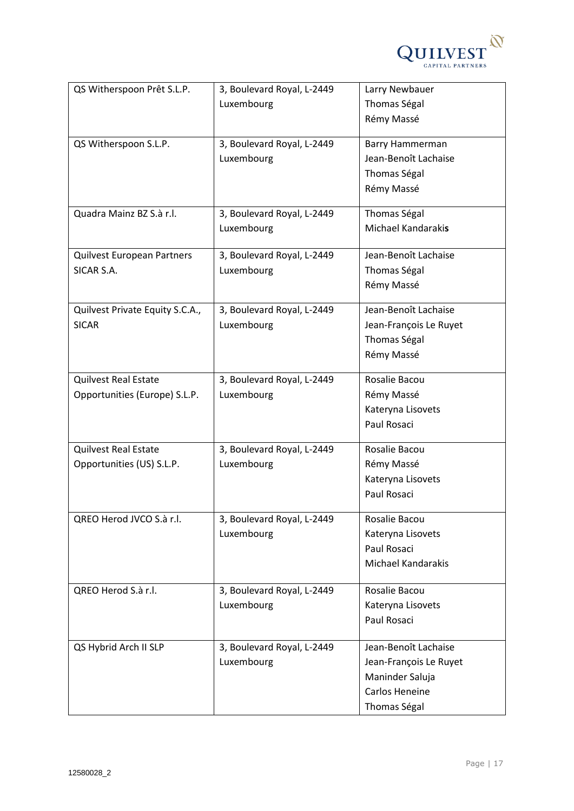

| QS Witherspoon Prêt S.L.P.      | 3, Boulevard Royal, L-2449 | Larry Newbauer            |
|---------------------------------|----------------------------|---------------------------|
|                                 | Luxembourg                 | Thomas Ségal              |
|                                 |                            | Rémy Massé                |
|                                 |                            |                           |
| QS Witherspoon S.L.P.           | 3, Boulevard Royal, L-2449 | <b>Barry Hammerman</b>    |
|                                 | Luxembourg                 | Jean-Benoît Lachaise      |
|                                 |                            | Thomas Ségal              |
|                                 |                            | Rémy Massé                |
| Quadra Mainz BZ S.à r.l.        | 3, Boulevard Royal, L-2449 | Thomas Ségal              |
|                                 | Luxembourg                 | Michael Kandarakis        |
|                                 |                            |                           |
| Quilvest European Partners      | 3, Boulevard Royal, L-2449 | Jean-Benoît Lachaise      |
| SICAR S.A.                      | Luxembourg                 | Thomas Ségal              |
|                                 |                            | Rémy Massé                |
| Quilvest Private Equity S.C.A., | 3, Boulevard Royal, L-2449 | Jean-Benoît Lachaise      |
| <b>SICAR</b>                    | Luxembourg                 | Jean-François Le Ruyet    |
|                                 |                            | Thomas Ségal              |
|                                 |                            | Rémy Massé                |
|                                 |                            |                           |
| <b>Quilvest Real Estate</b>     | 3, Boulevard Royal, L-2449 | Rosalie Bacou             |
| Opportunities (Europe) S.L.P.   | Luxembourg                 | Rémy Massé                |
|                                 |                            | Kateryna Lisovets         |
|                                 |                            | Paul Rosaci               |
| <b>Quilvest Real Estate</b>     | 3, Boulevard Royal, L-2449 | Rosalie Bacou             |
| Opportunities (US) S.L.P.       | Luxembourg                 | Rémy Massé                |
|                                 |                            | Kateryna Lisovets         |
|                                 |                            | Paul Rosaci               |
|                                 |                            |                           |
| QREO Herod JVCO S.à r.l.        | 3, Boulevard Royal, L-2449 | Rosalie Bacou             |
|                                 | Luxembourg                 | Kateryna Lisovets         |
|                                 |                            | Paul Rosaci               |
|                                 |                            | <b>Michael Kandarakis</b> |
|                                 |                            |                           |
| QREO Herod S.à r.l.             | 3, Boulevard Royal, L-2449 | Rosalie Bacou             |
|                                 | Luxembourg                 | Kateryna Lisovets         |
|                                 |                            | Paul Rosaci               |
| QS Hybrid Arch II SLP           | 3, Boulevard Royal, L-2449 | Jean-Benoît Lachaise      |
|                                 | Luxembourg                 | Jean-François Le Ruyet    |
|                                 |                            | Maninder Saluja           |
|                                 |                            | Carlos Heneine            |
|                                 |                            | Thomas Ségal              |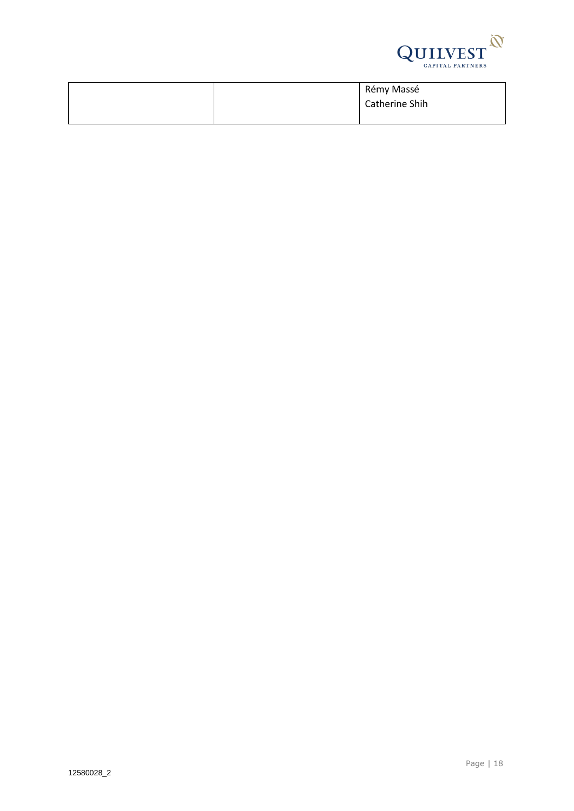

|  | Rémy Massé     |
|--|----------------|
|  | Catherine Shih |
|  |                |